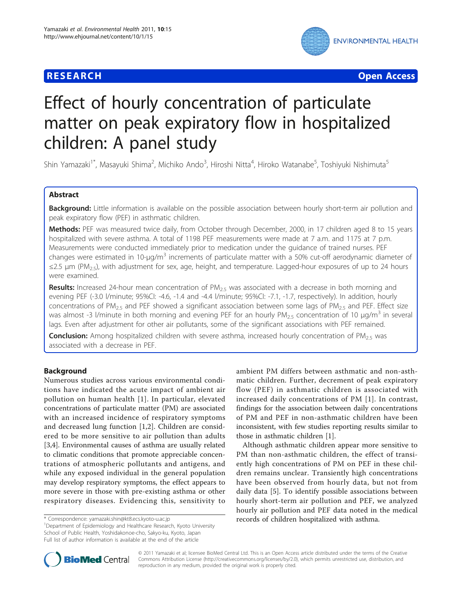

**RESEARCH CONSTRUCTION CONSTRUCTION CONSTRUCTS** 

# Effect of hourly concentration of particulate matter on peak expiratory flow in hospitalized children: A panel study

Shin Yamazaki<sup>1\*</sup>, Masayuki Shima<sup>2</sup>, Michiko Ando<sup>3</sup>, Hiroshi Nitta<sup>4</sup>, Hiroko Watanabe<sup>5</sup>, Toshiyuki Nishimuta<sup>5</sup>

# Abstract

Background: Little information is available on the possible association between hourly short-term air pollution and peak expiratory flow (PEF) in asthmatic children.

Methods: PEF was measured twice daily, from October through December, 2000, in 17 children aged 8 to 15 years hospitalized with severe asthma. A total of 1198 PEF measurements were made at 7 a.m. and 1175 at 7 p.m. Measurements were conducted immediately prior to medication under the guidance of trained nurses. PEF changes were estimated in 10- $\mu q/m^3$  increments of particulate matter with a 50% cut-off aerodynamic diameter of ≤2.5 μm (PM<sub>2.5</sub>), with adjustment for sex, age, height, and temperature. Lagged-hour exposures of up to 24 hours were examined.

**Results:** Increased 24-hour mean concentration of  $PM_{2.5}$  was associated with a decrease in both morning and evening PEF (-3.0 l/minute; 95%CI: -4.6, -1.4 and -4.4 l/minute; 95%CI: -7.1, -1.7, respectively). In addition, hourly concentrations of PM<sub>2.5</sub> and PEF showed a significant association between some lags of PM<sub>2.5</sub> and PEF. Effect size was almost -3 l/minute in both morning and evening PEF for an hourly PM<sub>2.5</sub> concentration of 10  $\mu$ g/m<sup>3</sup> in several lags. Even after adjustment for other air pollutants, some of the significant associations with PEF remained.

**Conclusion:** Among hospitalized children with severe asthma, increased hourly concentration of PM<sub>2.5</sub> was associated with a decrease in PEF.

# Background

Numerous studies across various environmental conditions have indicated the acute impact of ambient air pollution on human health [[1\]](#page-8-0). In particular, elevated concentrations of particulate matter (PM) are associated with an increased incidence of respiratory symptoms and decreased lung function [[1,2](#page-8-0)]. Children are considered to be more sensitive to air pollution than adults [[3,4\]](#page-8-0). Environmental causes of asthma are usually related to climatic conditions that promote appreciable concentrations of atmospheric pollutants and antigens, and while any exposed individual in the general population may develop respiratory symptoms, the effect appears to more severe in those with pre-existing asthma or other respiratory diseases. Evidencing this, sensitivity to

ambient PM differs between asthmatic and non-asthmatic children. Further, decrement of peak expiratory flow (PEF) in asthmatic children is associated with increased daily concentrations of PM [[1](#page-8-0)]. In contrast, findings for the association between daily concentrations of PM and PEF in non-asthmatic children have been inconsistent, with few studies reporting results similar to those in asthmatic children [[1\]](#page-8-0).

Although asthmatic children appear more sensitive to PM than non-asthmatic children, the effect of transiently high concentrations of PM on PEF in these children remains unclear. Transiently high concentrations have been observed from hourly data, but not from daily data [[5\]](#page-8-0). To identify possible associations between hourly short-term air pollution and PEF, we analyzed hourly air pollution and PEF data noted in the medical \* Correspondence: [yamazaki.shin@kt8.ecs.kyoto-u.ac.jp](mailto:yamazaki.shin@kt8.ecs.kyoto-u.ac.jp) records of children hospitalized with asthma.



© 2011 Yamazaki et al; licensee BioMed Central Ltd. This is an Open Access article distributed under the terms of the Creative Commons Attribution License [\(http://creativecommons.org/licenses/by/2.0](http://creativecommons.org/licenses/by/2.0)), which permits unrestricted use, distribution, and reproduction in any medium, provided the original work is properly cited.

<sup>&</sup>lt;sup>1</sup>Department of Epidemiology and Healthcare Research, Kyoto University School of Public Health, Yoshidakonoe-cho, Sakyo-ku, Kyoto, Japan Full list of author information is available at the end of the article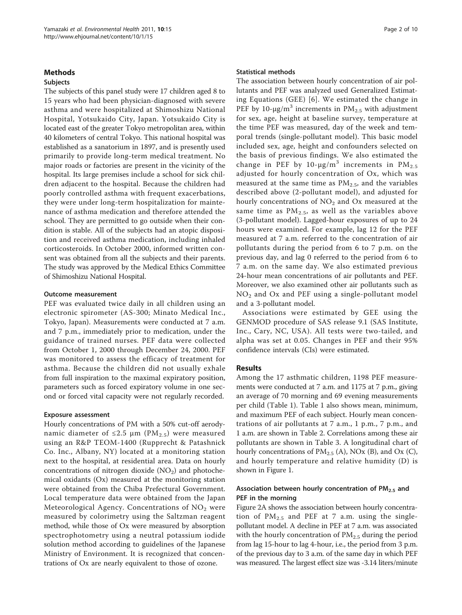# Methods

# **Subjects**

The subjects of this panel study were 17 children aged 8 to 15 years who had been physician-diagnosed with severe asthma and were hospitalized at Shimoshizu National Hospital, Yotsukaido City, Japan. Yotsukaido City is located east of the greater Tokyo metropolitan area, within 40 kilometers of central Tokyo. This national hospital was established as a sanatorium in 1897, and is presently used primarily to provide long-term medical treatment. No major roads or factories are present in the vicinity of the hospital. Its large premises include a school for sick children adjacent to the hospital. Because the children had poorly controlled asthma with frequent exacerbations, they were under long-term hospitalization for maintenance of asthma medication and therefore attended the school. They are permitted to go outside when their condition is stable. All of the subjects had an atopic disposition and received asthma medication, including inhaled corticosteroids. In October 2000, informed written consent was obtained from all the subjects and their parents. The study was approved by the Medical Ethics Committee of Shimoshizu National Hospital.

### Outcome measurement

PEF was evaluated twice daily in all children using an electronic spirometer (AS-300; Minato Medical Inc., Tokyo, Japan). Measurements were conducted at 7 a.m. and 7 p.m., immediately prior to medication, under the guidance of trained nurses. PEF data were collected from October 1, 2000 through December 24, 2000. PEF was monitored to assess the efficacy of treatment for asthma. Because the children did not usually exhale from full inspiration to the maximal expiratory position, parameters such as forced expiratory volume in one second or forced vital capacity were not regularly recorded.

#### Exposure assessment

Hourly concentrations of PM with a 50% cut-off aerodynamic diameter of  $\leq$ 2.5 µm (PM<sub>2.5</sub>) were measured using an R&P TEOM-1400 (Rupprecht & Patashnick Co. Inc., Albany, NY) located at a monitoring station next to the hospital, at residential area. Data on hourly concentrations of nitrogen dioxide  $(NO<sub>2</sub>)$  and photochemical oxidants (Ox) measured at the monitoring station were obtained from the Chiba Prefectural Government. Local temperature data were obtained from the Japan Meteorological Agency. Concentrations of  $NO<sub>2</sub>$  were measured by colorimetry using the Saltzman reagent method, while those of Ox were measured by absorption spectrophotometry using a neutral potassium iodide solution method according to guidelines of the Japanese Ministry of Environment. It is recognized that concentrations of Ox are nearly equivalent to those of ozone.

### Statistical methods

The association between hourly concentration of air pollutants and PEF was analyzed used Generalized Estimating Equations (GEE) [[6](#page-8-0)]. We estimated the change in PEF by 10-μg/m<sup>3</sup> increments in  $PM_{2.5}$  with adjustment for sex, age, height at baseline survey, temperature at the time PEF was measured, day of the week and temporal trends (single-pollutant model). This basic model included sex, age, height and confounders selected on the basis of previous findings. We also estimated the change in PEF by 10- $\mu$ g/m<sup>3</sup> increments in PM<sub>2.5</sub> adjusted for hourly concentration of Ox, which was measured at the same time as  $PM<sub>2.5</sub>$ , and the variables described above (2-pollutant model), and adjusted for hourly concentrations of  $NO<sub>2</sub>$  and  $Ox$  measured at the same time as  $PM_{2.5}$ , as well as the variables above (3-pollutant model). Lagged-hour exposures of up to 24 hours were examined. For example, lag 12 for the PEF measured at 7 a.m. referred to the concentration of air pollutants during the period from 6 to 7 p.m. on the previous day, and lag 0 referred to the period from 6 to 7 a.m. on the same day. We also estimated previous 24-hour mean concentrations of air pollutants and PEF. Moreover, we also examined other air pollutants such as  $NO<sub>2</sub>$  and Ox and PEF using a single-pollutant model and a 3-pollutant model.

Associations were estimated by GEE using the GENMOD procedure of SAS release 9.1 (SAS Institute, Inc., Cary, NC, USA). All tests were two-tailed, and alpha was set at 0.05. Changes in PEF and their 95% confidence intervals (CIs) were estimated.

# Results

Among the 17 asthmatic children, 1198 PEF measurements were conducted at 7 a.m. and 1175 at 7 p.m., giving an average of 70 morning and 69 evening measurements per child (Table [1\)](#page-2-0). Table [1](#page-2-0) also shows mean, minimum, and maximum PEF of each subject. Hourly mean concentrations of air pollutants at 7 a.m., 1 p.m., 7 p.m., and 1 a.m. are shown in Table [2.](#page-2-0) Correlations among these air pollutants are shown in Table [3.](#page-3-0) A longitudinal chart of hourly concentrations of  $PM_{2.5}$  (A), NOx (B), and Ox (C), and hourly temperature and relative humidity (D) is shown in Figure [1](#page-3-0).

# Association between hourly concentration of  $PM<sub>2.5</sub>$  and PEF in the morning

Figure [2A](#page-4-0) shows the association between hourly concentration of  $PM_{2.5}$  and PEF at 7 a.m. using the singlepollutant model. A decline in PEF at 7 a.m. was associated with the hourly concentration of  $PM_{2.5}$  during the period from lag 15-hour to lag 4-hour, i.e., the period from 3 p.m. of the previous day to 3 a.m. of the same day in which PEF was measured. The largest effect size was -3.14 liters/minute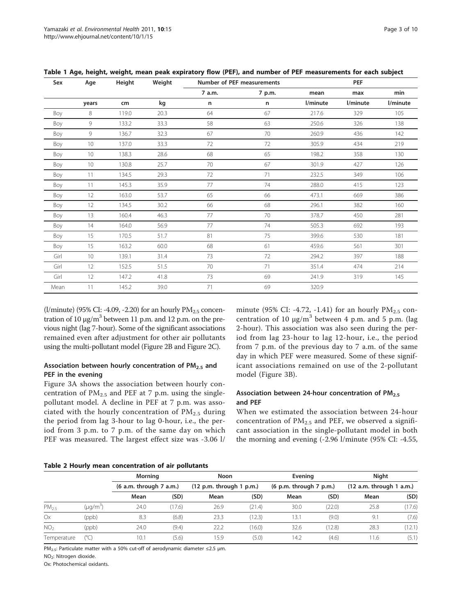| Sex  | Age               | Height | Weight | Number of PEF measurements |        | <b>PEF</b> |          |          |
|------|-------------------|--------|--------|----------------------------|--------|------------|----------|----------|
|      |                   |        |        | 7 a.m.                     | 7 p.m. | mean       | max      | min      |
|      | years             | cm     | kg     | n                          | n      | l/minute   | l/minute | l/minute |
| Boy  | 8                 | 119.0  | 20.3   | 64                         | 67     | 217.6      | 329      | 105      |
| Boy  | 9                 | 133.2  | 33.3   | 58                         | 63     | 250.6      | 326      | 138      |
| Boy  | 9                 | 136.7  | 32.3   | 67                         | 70     | 260.9      | 436      | 142      |
| Boy  | 10 <sup>°</sup>   | 137.0  | 33.3   | 72                         | 72     | 305.9      | 434      | 219      |
| Boy  | 10 <sup>°</sup>   | 138.3  | 28.6   | 68                         | 65     | 198.2      | 358      | 130      |
| Boy  | 10 <sup>°</sup>   | 130.8  | 25.7   | 70                         | 67     | 301.9      | 427      | 126      |
| Boy  | 11                | 134.5  | 29.3   | 72                         | 71     | 232.5      | 349      | 106      |
| Boy  | 11                | 145.3  | 35.9   | 77                         | 74     | 288.0      | 415      | 123      |
| Boy  | $12 \overline{ }$ | 163.0  | 53.7   | 65                         | 66     | 473.1      | 669      | 386      |
| Boy  | 12                | 134.5  | 30.2   | 66                         | 68     | 296.1      | 382      | 160      |
| Boy  | 13                | 160.4  | 46.3   | 77                         | 70     | 378.7      | 450      | 281      |
| Boy  | 14                | 164.0  | 56.9   | 77                         | 74     | 505.3      | 692      | 193      |
| Boy  | 15                | 170.5  | 51.7   | 81                         | 75     | 399.6      | 530      | 181      |
| Boy  | 15                | 163.2  | 60.0   | 68                         | 61     | 459.6      | 561      | 301      |
| Girl | 10 <sup>°</sup>   | 139.1  | 31.4   | 73                         | 72     | 294.2      | 397      | 188      |
| Girl | 12                | 152.5  | 51.5   | 70                         | 71     | 351.4      | 474      | 214      |
| Girl | $12 \overline{ }$ | 147.2  | 41.8   | 73                         | 69     | 241.9      | 319      | 145      |
| Mean | 11                | 145.2  | 39.0   | 71                         | 69     | 320.9      |          |          |

<span id="page-2-0"></span>Table 1 Age, height, weight, mean peak expiratory flow (PEF), and number of PEF measurements for each subject

(l/minute) (95% CI: -4.09, -2.20) for an hourly  $PM_{2.5}$  concentration of 10 μg/m<sup>3</sup> between 11 p.m. and 12 p.m. on the previous night (lag 7-hour). Some of the significant associations remained even after adjustment for other air pollutants using the multi-pollutant model (Figure [2B](#page-4-0) and Figure [2C](#page-4-0)).

# Association between hourly concentration of  $PM<sub>2.5</sub>$  and PEF in the evening

Figure [3A](#page-4-0) shows the association between hourly concentration of  $PM_{2.5}$  and PEF at 7 p.m. using the singlepollutant model. A decline in PEF at 7 p.m. was associated with the hourly concentration of  $PM_{2.5}$  during the period from lag 3-hour to lag 0-hour, i.e., the period from 3 p.m. to 7 p.m. of the same day on which PEF was measured. The largest effect size was -3.06 l/ minute (95% CI: -4.72, -1.41) for an hourly  $PM_{2.5}$  concentration of 10 μg/m<sup>3</sup> between 4 p.m. and 5 p.m. (lag 2-hour). This association was also seen during the period from lag 23-hour to lag 12-hour, i.e., the period from 7 p.m. of the previous day to 7 a.m. of the same day in which PEF were measured. Some of these significant associations remained on use of the 2-pollutant model (Figure [3B\)](#page-4-0).

# Association between 24-hour concentration of  $PM<sub>2.5</sub>$ and PEF

When we estimated the association between 24-hour concentration of  $PM_{2.5}$  and PEF, we observed a significant association in the single-pollutant model in both the morning and evening (-2.96 l/minute (95% CI: -4.55,

|  |  | Table 2 Hourly mean concentration of air pollutants |  |  |  |
|--|--|-----------------------------------------------------|--|--|--|
|--|--|-----------------------------------------------------|--|--|--|

| $19002 + 110911$ intern tonttinually at an politically |               |                                        |        |                                    |        |                                                       |        |                                     |        |
|--------------------------------------------------------|---------------|----------------------------------------|--------|------------------------------------|--------|-------------------------------------------------------|--------|-------------------------------------|--------|
|                                                        |               | Morning<br>$(6$ a.m. through $7$ a.m.) |        | Noon<br>$(12 p.m.$ through 1 p.m.) |        | Evening<br>$(6 \text{ p.m.}$ through $7 \text{ p.m.}$ |        | Night<br>$(12 a.m.$ through 1 a.m.) |        |
|                                                        |               |                                        |        |                                    |        |                                                       |        |                                     |        |
|                                                        |               | Mean                                   | (SD)   | Mean                               | (SD)   | Mean                                                  | (SD)   | Mean                                | (SD)   |
| $PM_{25}$                                              | $(\mu q/m^3)$ | 24.0                                   | (17.6) | 26.9                               | (21.4) | 30.0                                                  | (22.0) | 25.8                                | (17.6) |
| Ox.                                                    | (ppb)         | 8.3                                    | (6.8)  | 23.3                               | (12.3) | 13.1                                                  | (9.0)  | 9.1                                 | (7.6)  |
| NO <sub>2</sub>                                        | (ppb)         | 24.0                                   | (9.4)  | 22.2                               | (16.0) | 32.6                                                  | (12.8) | 28.3                                | (12.1) |
| Temperature                                            | (°C           | 10.1                                   | (5.6)  | 15.9                               | (5.0)  | 14.2                                                  | (4.6)  | 1.6                                 | (5.1)  |

PM2.5: Particulate matter with a 50% cut-off of aerodynamic diameter ≤2.5 μm.

NO2: Nitrogen dioxide.

Ox: Photochemical oxidants.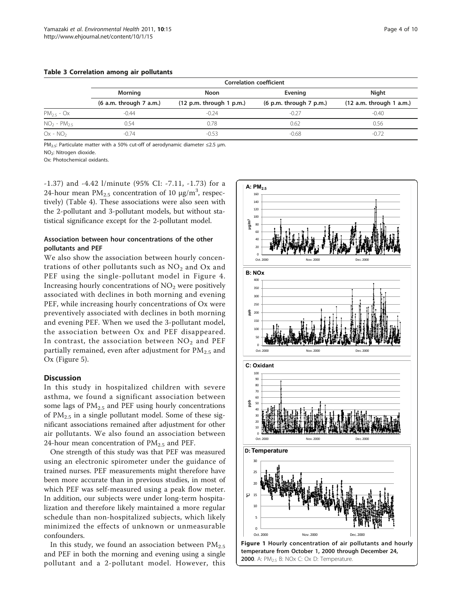|                | <b>Correlation coefficient</b> |                            |                                              |                            |  |  |  |
|----------------|--------------------------------|----------------------------|----------------------------------------------|----------------------------|--|--|--|
|                | Morning                        | Noon                       | Evening                                      | Night                      |  |  |  |
|                | $(6$ a.m. through $7$ a.m.)    | $(12 p.m.$ through 1 p.m.) | $(6 \text{ p.m.}$ through $7 \text{ p.m.}$ ) | $(12 a.m.$ through 1 a.m.) |  |  |  |
| $PM_{25} - Ox$ | $-0.44$                        | $-0.24$                    | $-0.27$                                      | $-0.40$                    |  |  |  |
| $NO2 - PM25$   | 0.54                           | 0.78                       | 0.62                                         | 0.56                       |  |  |  |
| $Ox - NO2$     | $-0.74$                        | $-0.53$                    | $-0.68$                                      | -0.72                      |  |  |  |

<span id="page-3-0"></span>Table 3 Correlation among air pollutants

PM<sub>2.5</sub>: Particulate matter with a 50% cut-off of aerodynamic diameter  $\leq$ 2.5 µm.

NO2: Nitrogen dioxide.

Ox: Photochemical oxidants.

-1.37) and -4.42 l/minute (95% CI: -7.11, -1.73) for a 24-hour mean  $\text{PM}_{2.5}$  concentration of 10  $\mu\text{g/m}^3$ , respectively) (Table [4\)](#page-5-0). These associations were also seen with the 2-pollutant and 3-pollutant models, but without statistical significance except for the 2-pollutant model.

# Association between hour concentrations of the other pollutants and PEF

We also show the association between hourly concentrations of other pollutants such as  $NO<sub>2</sub>$  and Ox and PEF using the single-pollutant model in Figure [4](#page-6-0). Increasing hourly concentrations of  $NO<sub>2</sub>$  were positively associated with declines in both morning and evening PEF, while increasing hourly concentrations of Ox were preventively associated with declines in both morning and evening PEF. When we used the 3-pollutant model, the association between Ox and PEF disappeared. In contrast, the association between  $NO<sub>2</sub>$  and PEF partially remained, even after adjustment for  $PM_{2.5}$  and Ox (Figure [5](#page-7-0)).

# Discussion

In this study in hospitalized children with severe asthma, we found a significant association between some lags of PM<sub>2.5</sub> and PEF using hourly concentrations of  $PM_{2.5}$  in a single pollutant model. Some of these significant associations remained after adjustment for other air pollutants. We also found an association between 24-hour mean concentration of  $PM<sub>2.5</sub>$  and PEF.

One strength of this study was that PEF was measured using an electronic spirometer under the guidance of trained nurses. PEF measurements might therefore have been more accurate than in previous studies, in most of which PEF was self-measured using a peak flow meter. In addition, our subjects were under long-term hospitalization and therefore likely maintained a more regular schedule than non-hospitalized subjects, which likely minimized the effects of unknown or unmeasurable confounders.

In this study, we found an association between  $PM_{2.5}$ and PEF in both the morning and evening using a single pollutant and a 2-pollutant model. However, this

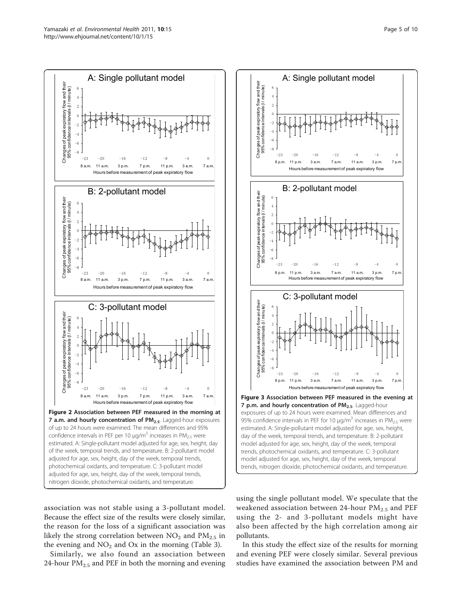<span id="page-4-0"></span>

association was not stable using a 3-pollutant model. Because the effect size of the results were closely similar, the reason for the loss of a significant association was likely the strong correlation between  $NO<sub>2</sub>$  and  $PM<sub>2.5</sub>$  in the evening and  $NO<sub>2</sub>$  and  $O<sub>X</sub>$  in the morning (Table [3\)](#page-3-0).

Similarly, we also found an association between 24-hour  $PM_{2.5}$  and PEF in both the morning and evening



using the single pollutant model. We speculate that the weakened association between 24-hour  $PM_{2.5}$  and PEF using the 2- and 3-pollutant models might have also been affected by the high correlation among air pollutants.

In this study the effect size of the results for morning and evening PEF were closely similar. Several previous studies have examined the association between PM and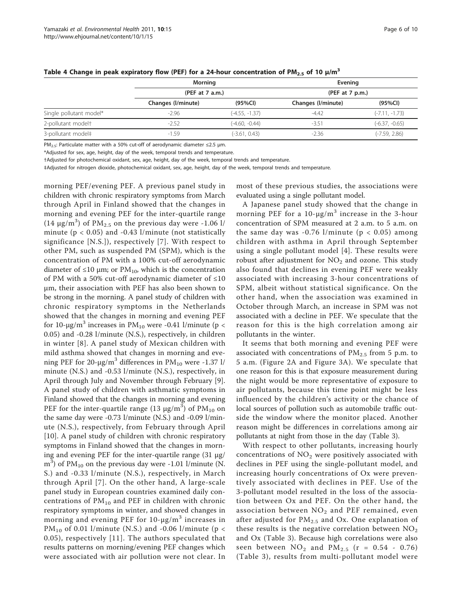|                         | Morning            |                  | Evening            |                  |  |  |
|-------------------------|--------------------|------------------|--------------------|------------------|--|--|
|                         | (PEF at $7$ a.m.)  |                  | (PEF at $7$ p.m.)  |                  |  |  |
|                         | Changes (I/minute) | $(95\%CI)$       | Changes (I/minute) | (95%Cl)          |  |  |
| Single pollutant model* | $-2.96$            | $(-4.55, -1.37)$ | $-4.42$            | $(-7.11, -1.73)$ |  |  |
| 2-pollutant model†      | $-2.52$            | $(-4.60, -0.44)$ | $-3.51$            | $(-6.37, -0.65)$ |  |  |
| 3-pollutant model‡      | $-1.59$            | $(-3.61, 0.43)$  | $-2.36$            | $(-7.59, 2.86)$  |  |  |

<span id="page-5-0"></span>Table 4 Change in peak expiratory flow (PEF) for a 24-hour concentration of PM<sub>2.5</sub> of 10  $\mu/m^3$ 

PM2.5: Particulate matter with a 50% cut-off of aerodynamic diameter ≤2.5 μm.

\*Adjusted for sex, age, height, day of the week, temporal trends and temperature.

†Adjusted for photochemical oxidant, sex, age, height, day of the week, temporal trends and temperature.

‡Adjusted for nitrogen dioxide, photochemical oxidant, sex, age, height, day of the week, temporal trends and temperature.

morning PEF/evening PEF. A previous panel study in children with chronic respiratory symptoms from March through April in Finland showed that the changes in morning and evening PEF for the inter-quartile range (14 μg/m<sup>3</sup>) of PM<sub>2.5</sub> on the previous day were -1.06 l/ minute ( $p < 0.05$ ) and -0.43 l/minute (not statistically significance [N.S.]), respectively [[7](#page-8-0)]. With respect to other PM, such as suspended PM (SPM), which is the concentration of PM with a 100% cut-off aerodynamic diameter of  $\leq 10 \mu m$ ; or PM<sub>10</sub>, which is the concentration of PM with a 50% cut-off aerodynamic diameter of ≤10 μm, their association with PEF has also been shown to be strong in the morning. A panel study of children with chronic respiratory symptoms in the Netherlands showed that the changes in morning and evening PEF for 10-μg/m<sup>3</sup> increases in  $PM_{10}$  were -0.41 l/minute (p < 0.05) and -0.28 l/minute (N.S.), respectively, in children in winter [[8](#page-8-0)]. A panel study of Mexican children with mild asthma showed that changes in morning and evening PEF for 20-μg/m<sup>3</sup> differences in PM<sub>10</sub> were -1.37 l/ minute (N.S.) and -0.53 l/minute (N.S.), respectively, in April through July and November through February [[9](#page-8-0)]. A panel study of children with asthmatic symptoms in Finland showed that the changes in morning and evening PEF for the inter-quartile range (13  $\mu$ g/m $^3)$  of PM $_{10}$  on the same day were -0.73 l/minute (N.S.) and -0.09 l/minute (N.S.), respectively, from February through April [[10](#page-9-0)]. A panel study of children with chronic respiratory symptoms in Finland showed that the changes in morning and evening PEF for the inter-quartile range (31 μg/  $\text{m}^3$ ) of PM<sub>10</sub> on the previous day were -1.01 l/minute (N. S.) and -0.33 l/minute (N.S.), respectively, in March through April [[7\]](#page-8-0). On the other hand, A large-scale panel study in European countries examined daily concentrations of  $PM_{10}$  and PEF in children with chronic respiratory symptoms in winter, and showed changes in morning and evening PEF for  $10-\mu g/m^3$  increases in PM<sub>10</sub> of 0.01 l/minute (N.S.) and -0.06 l/minute (p < 0.05), respectively [[11](#page-9-0)]. The authors speculated that results patterns on morning/evening PEF changes which were associated with air pollution were not clear. In

most of these previous studies, the associations were evaluated using a single pollutant model.

A Japanese panel study showed that the change in morning PEF for a  $10-\mu g/m^3$  increase in the 3-hour concentration of SPM measured at 2 a.m. to 5 a.m. on the same day was -0.76 l/minute ( $p < 0.05$ ) among children with asthma in April through September using a single pollutant model [\[4\]](#page-8-0). These results were robust after adjustment for  $NO<sub>2</sub>$  and ozone. This study also found that declines in evening PEF were weakly associated with increasing 3-hour concentrations of SPM, albeit without statistical significance. On the other hand, when the association was examined in October through March, an increase in SPM was not associated with a decline in PEF. We speculate that the reason for this is the high correlation among air pollutants in the winter.

It seems that both morning and evening PEF were associated with concentrations of  $PM_{2.5}$  from 5 p.m. to 5 a.m. (Figure [2A](#page-4-0) and Figure [3A](#page-4-0)). We speculate that one reason for this is that exposure measurement during the night would be more representative of exposure to air pollutants, because this time point might be less influenced by the children's activity or the chance of local sources of pollution such as automobile traffic outside the window where the monitor placed. Another reason might be differences in correlations among air pollutants at night from those in the day (Table [3](#page-3-0)).

With respect to other pollutants, increasing hourly concentrations of  $NO<sub>2</sub>$  were positively associated with declines in PEF using the single-pollutant model, and increasing hourly concentrations of Ox were preventively associated with declines in PEF. Use of the 3-pollutant model resulted in the loss of the association between Ox and PEF. On the other hand, the association between  $NO<sub>2</sub>$  and PEF remained, even after adjusted for  $PM_{2.5}$  and Ox. One explanation of these results is the negative correlation between  $NO<sub>2</sub>$ and Ox (Table [3\)](#page-3-0). Because high correlations were also seen between  $NO<sub>2</sub>$  and  $PM<sub>2.5</sub>$  (r = 0.54 - 0.76) (Table [3](#page-3-0)), results from multi-pollutant model were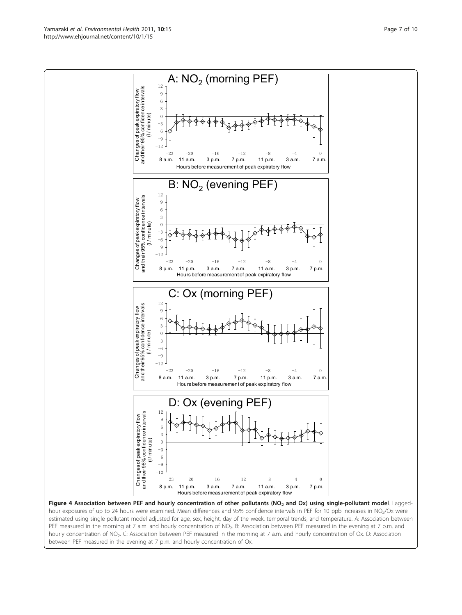<span id="page-6-0"></span>Yamazaki et al. Environmental Health 2011, 10:15 http://www.ehjournal.net/content/10/1/15



estimated using single pollutant model adjusted for age, sex, height, day of the week, temporal trends, and temperature. A: Association between PEF measured in the morning at 7 a.m. and hourly concentration of NO<sub>2</sub>. B: Association between PEF measured in the evening at 7 p.m. and hourly concentration of NO<sub>2</sub>. C: Association between PEF measured in the morning at 7 a.m. and hourly concentration of Ox. D: Association between PEF measured in the evening at 7 p.m. and hourly concentration of Ox.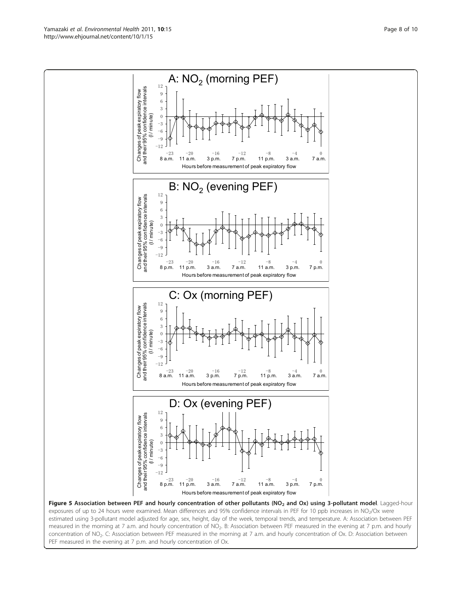<span id="page-7-0"></span>Yamazaki et al. Environmental Health 2011, 10:15 http://www.ehjournal.net/content/10/1/15



estimated using 3-pollutant model adjusted for age, sex, height, day of the week, temporal trends, and temperature. A: Association between PEF measured in the morning at 7 a.m. and hourly concentration of NO<sub>2</sub>. B: Association between PEF measured in the evening at 7 p.m. and hourly concentration of NO<sub>2</sub>. C: Association between PEF measured in the morning at 7 a.m. and hourly concentration of Ox. D: Association between PEF measured in the evening at 7 p.m. and hourly concentration of Ox.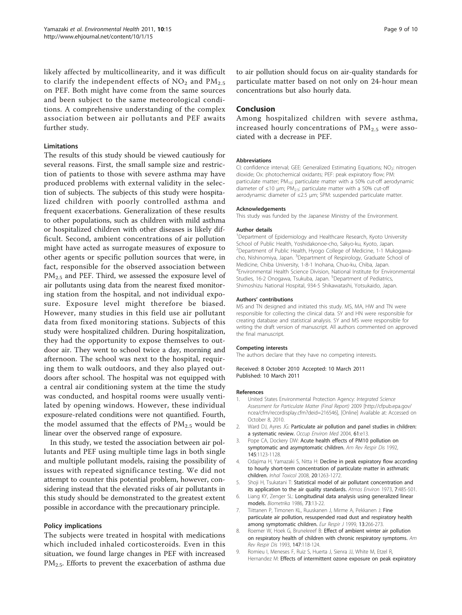<span id="page-8-0"></span>likely affected by multicollinearity, and it was difficult to clarify the independent effects of  $NO<sub>2</sub>$  and  $PM<sub>2.5</sub>$ on PEF. Both might have come from the same sources and been subject to the same meteorological conditions. A comprehensive understanding of the complex association between air pollutants and PEF awaits further study.

## Limitations

The results of this study should be viewed cautiously for several reasons. First, the small sample size and restriction of patients to those with severe asthma may have produced problems with external validity in the selection of subjects. The subjects of this study were hospitalized children with poorly controlled asthma and frequent exacerbations. Generalization of these results to other populations, such as children with mild asthma or hospitalized children with other diseases is likely difficult. Second, ambient concentrations of air pollution might have acted as surrogate measures of exposure to other agents or specific pollution sources that were, in fact, responsible for the observed association between  $PM_{2.5}$  and PEF. Third, we assessed the exposure level of air pollutants using data from the nearest fixed monitoring station from the hospital, and not individual exposure. Exposure level might therefore be biased. However, many studies in this field use air pollutant data from fixed monitoring stations. Subjects of this study were hospitalized children. During hospitalization, they had the opportunity to expose themselves to outdoor air. They went to school twice a day, morning and afternoon. The school was next to the hospital, requiring them to walk outdoors, and they also played outdoors after school. The hospital was not equipped with a central air conditioning system at the time the study was conducted, and hospital rooms were usually ventilated by opening windows. However, these individual exposure-related conditions were not quantified. Fourth, the model assumed that the effects of  $PM_{2.5}$  would be linear over the observed range of exposure.

In this study, we tested the association between air pollutants and PEF using multiple time lags in both single and multiple pollutant models, raising the possibility of issues with repeated significance testing. We did not attempt to counter this potential problem, however, considering instead that the elevated risks of air pollutants in this study should be demonstrated to the greatest extent possible in accordance with the precautionary principle.

#### Policy implications

The subjects were treated in hospital with medications which included inhaled corticosteroids. Even in this situation, we found large changes in PEF with increased  $PM_{2.5}$ . Efforts to prevent the exacerbation of asthma due to air pollution should focus on air-quality standards for particulate matter based on not only on 24-hour mean concentrations but also hourly data.

# Conclusion

Among hospitalized children with severe asthma, increased hourly concentrations of  $PM_{2.5}$  were associated with a decrease in PEF.

#### Abbreviations

CI: confidence interval; GEE: Generalized Estimating Equations; NO<sub>2</sub>: nitrogen dioxide; Ox: photochemical oxidants; PEF: peak expiratory flow; PM: particulate matter; PM<sub>10</sub>: particulate matter with a 50% cut-off aerodynamic diameter of ≤10  $\mu$ m; PM<sub>2.5</sub>: particulate matter with a 50% cut-off aerodynamic diameter of ≤2.5 μm; SPM: suspended particulate matter.

#### Acknowledgements

This study was funded by the Japanese Ministry of the Environment.

#### Author details

<sup>1</sup>Department of Epidemiology and Healthcare Research, Kyoto University School of Public Health, Yoshidakonoe-cho, Sakyo-ku, Kyoto, Japan. 2 Department of Public Health, Hyogo College of Medicine, 1-1 Mukogawacho, Nishinomiya, Japan. <sup>3</sup>Department of Respirology, Graduate School of Medicine, Chiba University, 1-8-1 Inohana, Chuo-ku, Chiba, Japan. 4 Environmental Health Science Division, National Institute for Environmental Studies, 16-2 Onogawa, Tsukuba, Japan. <sup>5</sup>Department of Pediatrics Shimoshizu National Hospital, 934-5 Shikawatashi, Yotsukaido, Japan.

#### Authors' contributions

MS and TN designed and initiated this study. MS, MA, HW and TN were responsible for collecting the clinical data. SY and HN were responsible for creating database and statistical analysis. SY and MS were responsible for writing the draft version of manuscript. All authors commented on approved the final manuscript.

#### Competing interests

The authors declare that they have no competing interests.

#### Received: 8 October 2010 Accepted: 10 March 2011 Published: 10 March 2011

#### References

- United States Environmental Protection Agency: Integrated Science Assessment for Particulate Matter (Final Report) 2009 [[http://cfpub.epa.gov/](http://cfpub.epa.gov/ncea/cfm/recordisplay.cfm?deid=216546) [ncea/cfm/recordisplay.cfm?deid=216546](http://cfpub.epa.gov/ncea/cfm/recordisplay.cfm?deid=216546)], [Online] Available at: Accessed on October 8, 2010.
- 2. Ward DJ, Ayres JG: [Particulate air pollution and panel studies in children:](http://www.ncbi.nlm.nih.gov/pubmed/15031404?dopt=Abstract) [a systematic review.](http://www.ncbi.nlm.nih.gov/pubmed/15031404?dopt=Abstract) Occup Environ Med 2004, 61:e13.
- 3. Pope CA, Dockery DW: [Acute health effects of PM10 pollution on](http://www.ncbi.nlm.nih.gov/pubmed/1586057?dopt=Abstract) [symptomatic and asymptomatic children.](http://www.ncbi.nlm.nih.gov/pubmed/1586057?dopt=Abstract) Am Rev Respir Dis 1992, 145:1123-1128.
- 4. Odajima H, Yamazaki S, Nitta H: [Decline in peak expiratory flow according](http://www.ncbi.nlm.nih.gov/pubmed/18951228?dopt=Abstract) [to hourly short-term concentration of particulate matter in asthmatic](http://www.ncbi.nlm.nih.gov/pubmed/18951228?dopt=Abstract) [children.](http://www.ncbi.nlm.nih.gov/pubmed/18951228?dopt=Abstract) Inhal Toxicol 2008, 20:1263-1272.
- 5. Shoji H, Tsukatani T: Statistical model of air pollutant concentration and its application to the air quality standards. Atmos Environ 1973, 7:485-501.
- 6. Liang KY, Zenger SL: Longitudinal data analysis using generalized linear models. Biometrika 1986, 73:13-22.
- 7. Tiittanen P, Timonen KL, Ruuskanen J, Mirme A, Pekkanen J: [Fine](http://www.ncbi.nlm.nih.gov/pubmed/10065666?dopt=Abstract) [particulate air pollution, resuspended road dust and respiratory health](http://www.ncbi.nlm.nih.gov/pubmed/10065666?dopt=Abstract) [among symptomatic children.](http://www.ncbi.nlm.nih.gov/pubmed/10065666?dopt=Abstract) Eur Respir J 1999, 13:266-273.
- 8. Roemer W, Hoek G, Brunekreef B: [Effect of ambient winter air pollution](http://www.ncbi.nlm.nih.gov/pubmed/8420404?dopt=Abstract) [on respiratory health of children with chronic respiratory symptoms.](http://www.ncbi.nlm.nih.gov/pubmed/8420404?dopt=Abstract) Am Rev Respir Dis 1993, 147:118-124.
- 9. Romieu I, Meneses F, Ruiz S, Huerta J, Sienra JJ, White M, Etzel R, Hernandez M: [Effects of intermittent ozone exposure on peak expiratory](http://www.ncbi.nlm.nih.gov/pubmed/9546760?dopt=Abstract)